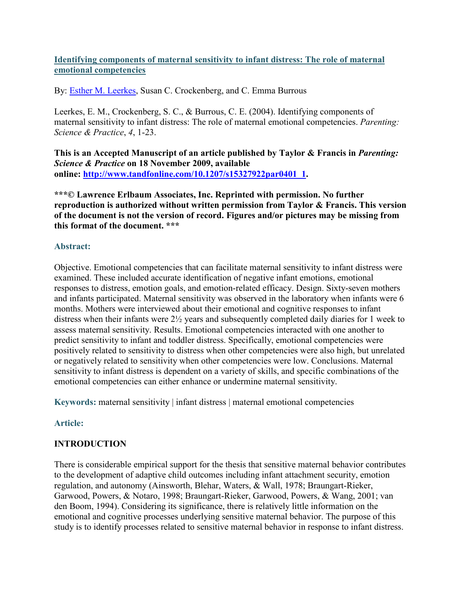## **Identifying components of maternal sensitivity to infant distress: The role of maternal emotional competencies**

By: [Esther M. Leerkes,](https://libres.uncg.edu/ir/uncg/clist.aspx?id=1186) Susan C. Crockenberg, and C. Emma Burrous

Leerkes, E. M., Crockenberg, S. C., & Burrous, C. E. (2004). Identifying components of maternal sensitivity to infant distress: The role of maternal emotional competencies. *Parenting: Science & Practice*, *4*, 1-23.

**This is an Accepted Manuscript of an article published by Taylor & Francis in** *Parenting: Science & Practice* **on 18 November 2009, available online: [http://www.tandfonline.com/10.1207/s15327922par0401\\_1.](http://www.tandfonline.com/10.1207/s15327922par0401_1)**

**\*\*\*© Lawrence Erlbaum Associates, Inc. Reprinted with permission. No further reproduction is authorized without written permission from Taylor & Francis. This version of the document is not the version of record. Figures and/or pictures may be missing from this format of the document. \*\*\***

#### **Abstract:**

Objective. Emotional competencies that can facilitate maternal sensitivity to infant distress were examined. These included accurate identification of negative infant emotions, emotional responses to distress, emotion goals, and emotion-related efficacy. Design. Sixty-seven mothers and infants participated. Maternal sensitivity was observed in the laboratory when infants were 6 months. Mothers were interviewed about their emotional and cognitive responses to infant distress when their infants were 2½ years and subsequently completed daily diaries for 1 week to assess maternal sensitivity. Results. Emotional competencies interacted with one another to predict sensitivity to infant and toddler distress. Specifically, emotional competencies were positively related to sensitivity to distress when other competencies were also high, but unrelated or negatively related to sensitivity when other competencies were low. Conclusions. Maternal sensitivity to infant distress is dependent on a variety of skills, and specific combinations of the emotional competencies can either enhance or undermine maternal sensitivity.

**Keywords:** maternal sensitivity | infant distress | maternal emotional competencies

## **Article:**

## **INTRODUCTION**

There is considerable empirical support for the thesis that sensitive maternal behavior contributes to the development of adaptive child outcomes including infant attachment security, emotion regulation, and autonomy (Ainsworth, Blehar, Waters, & Wall, 1978; Braungart-Rieker, Garwood, Powers, & Notaro, 1998; Braungart-Rieker, Garwood, Powers, & Wang, 2001; van den Boom, 1994). Considering its significance, there is relatively little information on the emotional and cognitive processes underlying sensitive maternal behavior. The purpose of this study is to identify processes related to sensitive maternal behavior in response to infant distress.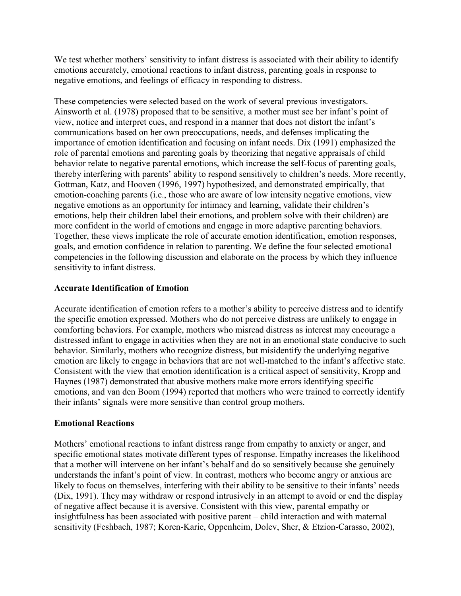We test whether mothers' sensitivity to infant distress is associated with their ability to identify emotions accurately, emotional reactions to infant distress, parenting goals in response to negative emotions, and feelings of efficacy in responding to distress.

These competencies were selected based on the work of several previous investigators. Ainsworth et al. (1978) proposed that to be sensitive, a mother must see her infant's point of view, notice and interpret cues, and respond in a manner that does not distort the infant's communications based on her own preoccupations, needs, and defenses implicating the importance of emotion identification and focusing on infant needs. Dix (1991) emphasized the role of parental emotions and parenting goals by theorizing that negative appraisals of child behavior relate to negative parental emotions, which increase the self-focus of parenting goals, thereby interfering with parents' ability to respond sensitively to children's needs. More recently, Gottman, Katz, and Hooven (1996, 1997) hypothesized, and demonstrated empirically, that emotion-coaching parents (i.e., those who are aware of low intensity negative emotions, view negative emotions as an opportunity for intimacy and learning, validate their children's emotions, help their children label their emotions, and problem solve with their children) are more confident in the world of emotions and engage in more adaptive parenting behaviors. Together, these views implicate the role of accurate emotion identification, emotion responses, goals, and emotion confidence in relation to parenting. We define the four selected emotional competencies in the following discussion and elaborate on the process by which they influence sensitivity to infant distress.

## **Accurate Identification of Emotion**

Accurate identification of emotion refers to a mother's ability to perceive distress and to identify the specific emotion expressed. Mothers who do not perceive distress are unlikely to engage in comforting behaviors. For example, mothers who misread distress as interest may encourage a distressed infant to engage in activities when they are not in an emotional state conducive to such behavior. Similarly, mothers who recognize distress, but misidentify the underlying negative emotion are likely to engage in behaviors that are not well-matched to the infant's affective state. Consistent with the view that emotion identification is a critical aspect of sensitivity, Kropp and Haynes (1987) demonstrated that abusive mothers make more errors identifying specific emotions, and van den Boom (1994) reported that mothers who were trained to correctly identify their infants' signals were more sensitive than control group mothers.

## **Emotional Reactions**

Mothers' emotional reactions to infant distress range from empathy to anxiety or anger, and specific emotional states motivate different types of response. Empathy increases the likelihood that a mother will intervene on her infant's behalf and do so sensitively because she genuinely understands the infant's point of view. In contrast, mothers who become angry or anxious are likely to focus on themselves, interfering with their ability to be sensitive to their infants' needs (Dix, 1991). They may withdraw or respond intrusively in an attempt to avoid or end the display of negative affect because it is aversive. Consistent with this view, parental empathy or insightfulness has been associated with positive parent – child interaction and with maternal sensitivity (Feshbach, 1987; Koren-Karie, Oppenheim, Dolev, Sher, & Etzion-Carasso, 2002),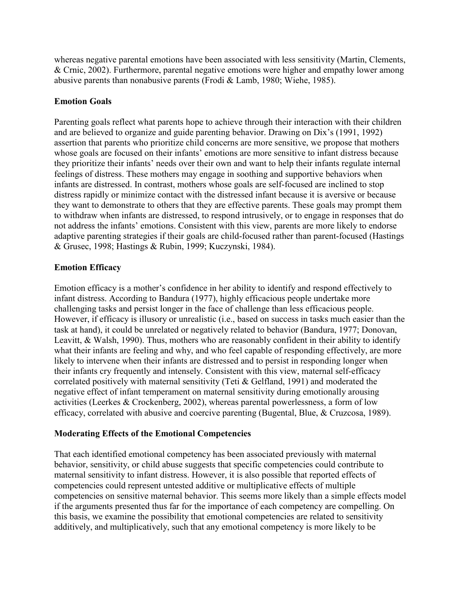whereas negative parental emotions have been associated with less sensitivity (Martin, Clements, & Crnic, 2002). Furthermore, parental negative emotions were higher and empathy lower among abusive parents than nonabusive parents (Frodi & Lamb, 1980; Wiehe, 1985).

#### **Emotion Goals**

Parenting goals reflect what parents hope to achieve through their interaction with their children and are believed to organize and guide parenting behavior. Drawing on Dix's (1991, 1992) assertion that parents who prioritize child concerns are more sensitive, we propose that mothers whose goals are focused on their infants' emotions are more sensitive to infant distress because they prioritize their infants' needs over their own and want to help their infants regulate internal feelings of distress. These mothers may engage in soothing and supportive behaviors when infants are distressed. In contrast, mothers whose goals are self-focused are inclined to stop distress rapidly or minimize contact with the distressed infant because it is aversive or because they want to demonstrate to others that they are effective parents. These goals may prompt them to withdraw when infants are distressed, to respond intrusively, or to engage in responses that do not address the infants' emotions. Consistent with this view, parents are more likely to endorse adaptive parenting strategies if their goals are child-focused rather than parent-focused (Hastings & Grusec, 1998; Hastings & Rubin, 1999; Kuczynski, 1984).

## **Emotion Efficacy**

Emotion efficacy is a mother's confidence in her ability to identify and respond effectively to infant distress. According to Bandura (1977), highly efficacious people undertake more challenging tasks and persist longer in the face of challenge than less efficacious people. However, if efficacy is illusory or unrealistic (i.e., based on success in tasks much easier than the task at hand), it could be unrelated or negatively related to behavior (Bandura, 1977; Donovan, Leavitt, & Walsh, 1990). Thus, mothers who are reasonably confident in their ability to identify what their infants are feeling and why, and who feel capable of responding effectively, are more likely to intervene when their infants are distressed and to persist in responding longer when their infants cry frequently and intensely. Consistent with this view, maternal self-efficacy correlated positively with maternal sensitivity (Teti & Gelfland, 1991) and moderated the negative effect of infant temperament on maternal sensitivity during emotionally arousing activities (Leerkes & Crockenberg, 2002), whereas parental powerlessness, a form of low efficacy, correlated with abusive and coercive parenting (Bugental, Blue, & Cruzcosa, 1989).

#### **Moderating Effects of the Emotional Competencies**

That each identified emotional competency has been associated previously with maternal behavior, sensitivity, or child abuse suggests that specific competencies could contribute to maternal sensitivity to infant distress. However, it is also possible that reported effects of competencies could represent untested additive or multiplicative effects of multiple competencies on sensitive maternal behavior. This seems more likely than a simple effects model if the arguments presented thus far for the importance of each competency are compelling. On this basis, we examine the possibility that emotional competencies are related to sensitivity additively, and multiplicatively, such that any emotional competency is more likely to be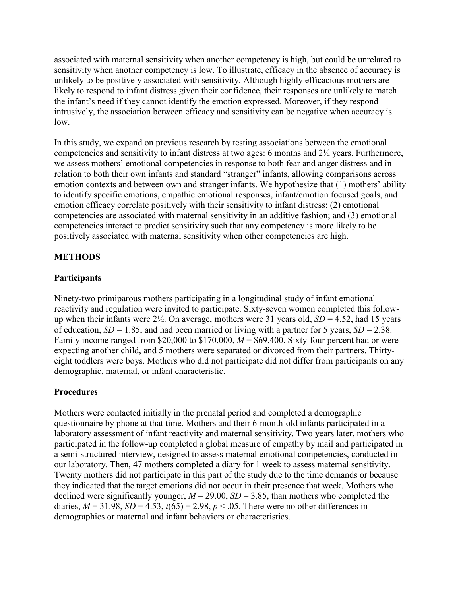associated with maternal sensitivity when another competency is high, but could be unrelated to sensitivity when another competency is low. To illustrate, efficacy in the absence of accuracy is unlikely to be positively associated with sensitivity. Although highly efficacious mothers are likely to respond to infant distress given their confidence, their responses are unlikely to match the infant's need if they cannot identify the emotion expressed. Moreover, if they respond intrusively, the association between efficacy and sensitivity can be negative when accuracy is low.

In this study, we expand on previous research by testing associations between the emotional competencies and sensitivity to infant distress at two ages: 6 months and 2½ years. Furthermore, we assess mothers' emotional competencies in response to both fear and anger distress and in relation to both their own infants and standard "stranger" infants, allowing comparisons across emotion contexts and between own and stranger infants. We hypothesize that (1) mothers' ability to identify specific emotions, empathic emotional responses, infant/emotion focused goals, and emotion efficacy correlate positively with their sensitivity to infant distress; (2) emotional competencies are associated with maternal sensitivity in an additive fashion; and (3) emotional competencies interact to predict sensitivity such that any competency is more likely to be positively associated with maternal sensitivity when other competencies are high.

## **METHODS**

## **Participants**

Ninety-two primiparous mothers participating in a longitudinal study of infant emotional reactivity and regulation were invited to participate. Sixty-seven women completed this followup when their infants were  $2\frac{1}{2}$ . On average, mothers were 31 years old, *SD* = 4.52, had 15 years of education,  $SD = 1.85$ , and had been married or living with a partner for 5 years,  $SD = 2.38$ . Family income ranged from \$20,000 to \$170,000,  $M = $69,400$ . Sixty-four percent had or were expecting another child, and 5 mothers were separated or divorced from their partners. Thirtyeight toddlers were boys. Mothers who did not participate did not differ from participants on any demographic, maternal, or infant characteristic.

# **Procedures**

Mothers were contacted initially in the prenatal period and completed a demographic questionnaire by phone at that time. Mothers and their 6-month-old infants participated in a laboratory assessment of infant reactivity and maternal sensitivity. Two years later, mothers who participated in the follow-up completed a global measure of empathy by mail and participated in a semi-structured interview, designed to assess maternal emotional competencies, conducted in our laboratory. Then, 47 mothers completed a diary for 1 week to assess maternal sensitivity. Twenty mothers did not participate in this part of the study due to the time demands or because they indicated that the target emotions did not occur in their presence that week. Mothers who declined were significantly younger,  $M = 29.00$ ,  $SD = 3.85$ , than mothers who completed the diaries,  $M = 31.98$ ,  $SD = 4.53$ ,  $t(65) = 2.98$ ,  $p < .05$ . There were no other differences in demographics or maternal and infant behaviors or characteristics.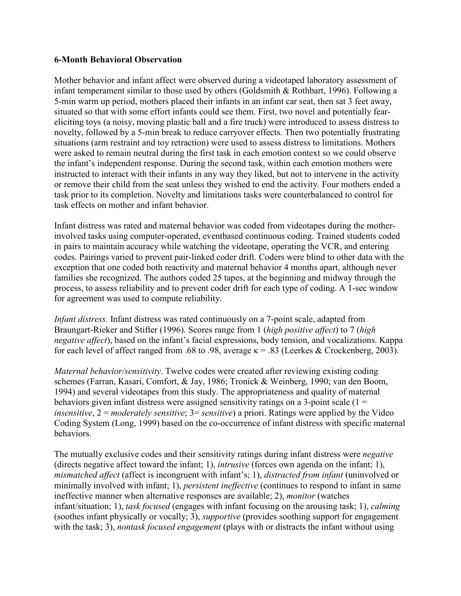#### **6-Month Behavioral Observation**

Mother behavior and infant affect were observed during a videotaped laboratory assessment of infant temperament similar to those used by others (Goldsmith & Rothbart, 1996). Following a 5-min warm up period, mothers placed their infants in an infant car seat, then sat 3 feet away, situated so that with some effort infants could see them. First, two novel and potentially feareliciting toys (a noisy, moving plastic ball and a fire truck) were introduced to assess distress to novelty, followed by a 5-min break to reduce carryover effects. Then two potentially frustrating situations (arm restraint and toy retraction) were used to assess distress to limitations. Mothers were asked to remain neutral during the first task in each emotion context so we could observe the infant's independent response. During the second task, within each emotion mothers were instructed to interact with their infants in any way they liked, but not to intervene in the activity or remove their child from the seat unless they wished to end the activity. Four mothers ended a task prior to its completion. Novelty and limitations tasks were counterbalanced to control for task effects on mother and infant behavior.

Infant distress was rated and maternal behavior was coded from videotapes during the motherinvolved tasks using computer-operated, eventbased continuous coding. Trained students coded in pairs to maintain accuracy while watching the videotape, operating the VCR, and entering codes. Pairings varied to prevent pair-linked coder drift. Coders were blind to other data with the exception that one coded both reactivity and maternal behavior 4 months apart, although never families she recognized. The authors coded 25 tapes, at the beginning and midway through the process, to assess reliability and to prevent coder drift for each type of coding. A 1-sec window for agreement was used to compute reliability.

*Infant distress.* Infant distress was rated continuously on a 7-point scale, adapted from Braungart-Rieker and Stifter (1996). Scores range from 1 (*high positive affect*) to 7 (*high negative affect*), based on the infant's facial expressions, body tension, and vocalizations. Kappa for each level of affect ranged from .68 to .98, average  $\kappa = .83$  (Leerkes & Crockenberg, 2003).

*Maternal behavior/sensitivity*. Twelve codes were created after reviewing existing coding schemes (Farran, Kasari, Comfort, & Jay, 1986; Tronick & Weinberg, 1990; van den Boom, 1994) and several videotapes from this study. The appropriateness and quality of maternal behaviors given infant distress were assigned sensitivity ratings on a 3-point scale  $(1 =$ *insensitive*, 2 = *moderately sensitive*; 3= *sensitive*) a priori. Ratings were applied by the Video Coding System (Long, 1999) based on the co-occurrence of infant distress with specific maternal behaviors.

The mutually exclusive codes and their sensitivity ratings during infant distress were *negative* (directs negative affect toward the infant; 1), *intrusive* (forces own agenda on the infant; 1), *mismatched affect* (affect is incongruent with infant's; 1), *distracted from infant* (uninvolved or minimally involved with infant; 1), *persistent ineffective* (continues to respond to infant in same ineffective manner when alternative responses are available; 2), *monitor* (watches infant/situation; 1), *task focused* (engages with infant focusing on the arousing task; 1), *calming*  (soothes infant physically or vocally; 3), *supportive* (provides soothing support for engagement with the task; 3), *nontask focused engagement* (plays with or distracts the infant without using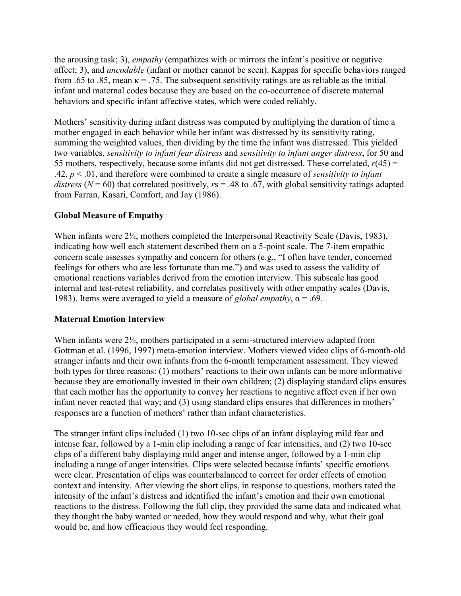the arousing task; 3), *empathy* (empathizes with or mirrors the infant's positive or negative affect; 3), and *uncodable* (infant or mother cannot be seen). Kappas for specific behaviors ranged from .65 to .85, mean  $\kappa = .75$ . The subsequent sensitivity ratings are as reliable as the initial infant and maternal codes because they are based on the co-occurrence of discrete maternal behaviors and specific infant affective states, which were coded reliably.

Mothers' sensitivity during infant distress was computed by multiplying the duration of time a mother engaged in each behavior while her infant was distressed by its sensitivity rating, summing the weighted values, then dividing by the time the infant was distressed. This yielded two variables, *sensitivity to infant fear distress* and *sensitivity to infant anger distress*, for 50 and 55 mothers, respectively, because some infants did not get distressed. These correlated, *r*(45) = .42, *p* < .01, and therefore were combined to create a single measure of *sensitivity to infant distress* ( $N = 60$ ) that correlated positively,  $rs = .48$  to .67, with global sensitivity ratings adapted from Farran, Kasari, Comfort, and Jay (1986).

## **Global Measure of Empathy**

When infants were  $2\frac{1}{2}$ , mothers completed the Interpersonal Reactivity Scale (Davis, 1983), indicating how well each statement described them on a 5-point scale. The 7-item empathic concern scale assesses sympathy and concern for others (e.g., "I often have tender, concerned feelings for others who are less fortunate than me.") and was used to assess the validity of emotional reactions variables derived from the emotion interview. This subscale has good internal and test-retest reliability, and correlates positively with other empathy scales (Davis, 1983). Items were averaged to yield a measure of *global empathy*,  $\alpha = .69$ .

## **Maternal Emotion Interview**

When infants were  $2\frac{1}{2}$ , mothers participated in a semi-structured interview adapted from Gottman et al. (1996, 1997) meta-emotion interview. Mothers viewed video clips of 6-month-old stranger infants and their own infants from the 6-month temperament assessment. They viewed both types for three reasons: (1) mothers' reactions to their own infants can be more informative because they are emotionally invested in their own children; (2) displaying standard clips ensures that each mother has the opportunity to convey her reactions to negative affect even if her own infant never reacted that way; and (3) using standard clips ensures that differences in mothers' responses are a function of mothers' rather than infant characteristics.

The stranger infant clips included (1) two 10-sec clips of an infant displaying mild fear and intense fear, followed by a 1-min clip including a range of fear intensities, and (2) two 10-sec clips of a different baby displaying mild anger and intense anger, followed by a 1-min clip including a range of anger intensities. Clips were selected because infants' specific emotions were clear. Presentation of clips was counterbalanced to correct for order effects of emotion context and intensity. After viewing the short clips, in response to questions, mothers rated the intensity of the infant's distress and identified the infant's emotion and their own emotional reactions to the distress. Following the full clip, they provided the same data and indicated what they thought the baby wanted or needed, how they would respond and why, what their goal would be, and how efficacious they would feel responding.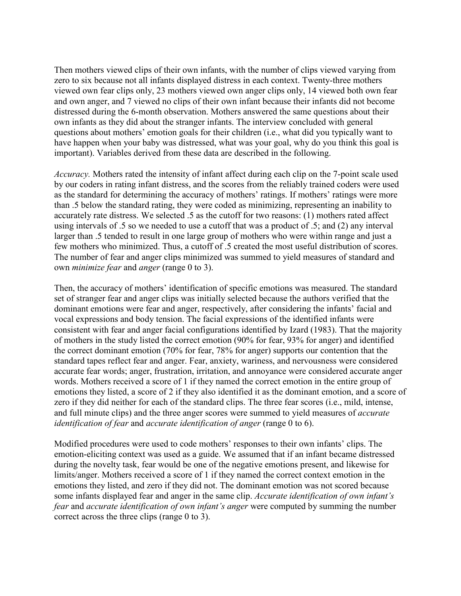Then mothers viewed clips of their own infants, with the number of clips viewed varying from zero to six because not all infants displayed distress in each context. Twenty-three mothers viewed own fear clips only, 23 mothers viewed own anger clips only, 14 viewed both own fear and own anger, and 7 viewed no clips of their own infant because their infants did not become distressed during the 6-month observation. Mothers answered the same questions about their own infants as they did about the stranger infants. The interview concluded with general questions about mothers' emotion goals for their children (i.e., what did you typically want to have happen when your baby was distressed, what was your goal, why do you think this goal is important). Variables derived from these data are described in the following.

*Accuracy.* Mothers rated the intensity of infant affect during each clip on the 7-point scale used by our coders in rating infant distress, and the scores from the reliably trained coders were used as the standard for determining the accuracy of mothers' ratings. If mothers' ratings were more than .5 below the standard rating, they were coded as minimizing, representing an inability to accurately rate distress. We selected .5 as the cutoff for two reasons: (1) mothers rated affect using intervals of .5 so we needed to use a cutoff that was a product of .5; and (2) any interval larger than .5 tended to result in one large group of mothers who were within range and just a few mothers who minimized. Thus, a cutoff of .5 created the most useful distribution of scores. The number of fear and anger clips minimized was summed to yield measures of standard and own *minimize fear* and *anger* (range 0 to 3).

Then, the accuracy of mothers' identification of specific emotions was measured. The standard set of stranger fear and anger clips was initially selected because the authors verified that the dominant emotions were fear and anger, respectively, after considering the infants' facial and vocal expressions and body tension. The facial expressions of the identified infants were consistent with fear and anger facial configurations identified by Izard (1983). That the majority of mothers in the study listed the correct emotion (90% for fear, 93% for anger) and identified the correct dominant emotion (70% for fear, 78% for anger) supports our contention that the standard tapes reflect fear and anger. Fear, anxiety, wariness, and nervousness were considered accurate fear words; anger, frustration, irritation, and annoyance were considered accurate anger words. Mothers received a score of 1 if they named the correct emotion in the entire group of emotions they listed, a score of 2 if they also identified it as the dominant emotion, and a score of zero if they did neither for each of the standard clips. The three fear scores (i.e., mild, intense, and full minute clips) and the three anger scores were summed to yield measures of *accurate identification of fear* and *accurate identification of anger* (range 0 to 6).

Modified procedures were used to code mothers' responses to their own infants' clips. The emotion-eliciting context was used as a guide. We assumed that if an infant became distressed during the novelty task, fear would be one of the negative emotions present, and likewise for limits/anger. Mothers received a score of 1 if they named the correct context emotion in the emotions they listed, and zero if they did not. The dominant emotion was not scored because some infants displayed fear and anger in the same clip. *Accurate identification of own infant's fear* and *accurate identification of own infant's anger* were computed by summing the number correct across the three clips (range 0 to 3).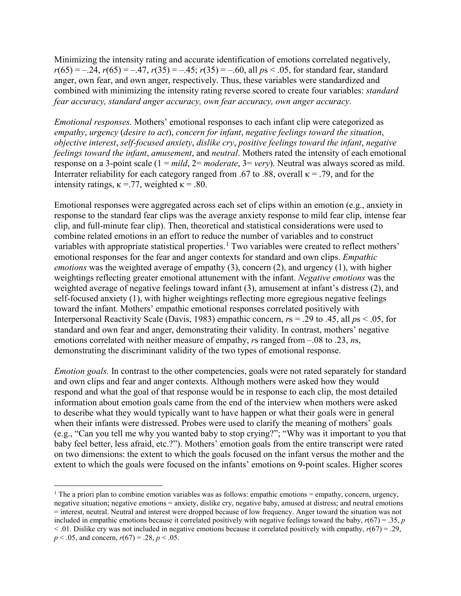Minimizing the intensity rating and accurate identification of emotions correlated negatively,  $r(65) = -.24$ ,  $r(65) = -.47$ ,  $r(35) = -.45$ ;  $r(35) = -.60$ , all  $ps < .05$ , for standard fear, standard anger, own fear, and own anger, respectively. Thus, these variables were standardized and combined with minimizing the intensity rating reverse scored to create four variables: *standard fear accuracy, standard anger accuracy, own fear accuracy, own anger accuracy*.

*Emotional responses.* Mothers' emotional responses to each infant clip were categorized as *empathy*, *urgency* (*desire to act*), *concern for infant*, *negative feelings toward the situation*, *objective interest*, *self-focused anxiety*, *dislike cry*, *positive feelings toward the infant*, *negative feelings toward the infant*, *amusement*, and *neutral*. Mothers rated the intensity of each emotional response on a 3-point scale (1 = *mild*, 2= *moderate*, 3= *very*). Neutral was always scored as mild. Interrater reliability for each category ranged from .67 to .88, overall  $\kappa$  = .79, and for the intensity ratings,  $\kappa = 0.77$ , weighted  $\kappa = 0.80$ .

Emotional responses were aggregated across each set of clips within an emotion (e.g., anxiety in response to the standard fear clips was the average anxiety response to mild fear clip, intense fear clip, and full-minute fear clip). Then, theoretical and statistical considerations were used to combine related emotions in an effort to reduce the number of variables and to construct variables with appropriate statistical properties.<sup>[1](#page-7-0)</sup> Two variables were created to reflect mothers' emotional responses for the fear and anger contexts for standard and own clips. *Empathic emotions* was the weighted average of empathy (3), concern (2), and urgency (1), with higher weightings reflecting greater emotional attunement with the infant. *Negative emotions* was the weighted average of negative feelings toward infant (3), amusement at infant's distress (2), and self-focused anxiety (1), with higher weightings reflecting more egregious negative feelings toward the infant. Mothers' empathic emotional responses correlated positively with Interpersonal Reactivity Scale (Davis, 1983) empathic concern, *r*s = .29 to .45, all *p*s < .05, for standard and own fear and anger, demonstrating their validity. In contrast, mothers' negative emotions correlated with neither measure of empathy, *r*s ranged from –.08 to .23, *n*s, demonstrating the discriminant validity of the two types of emotional response.

*Emotion goals.* In contrast to the other competencies, goals were not rated separately for standard and own clips and fear and anger contexts. Although mothers were asked how they would respond and what the goal of that response would be in response to each clip, the most detailed information about emotion goals came from the end of the interview when mothers were asked to describe what they would typically want to have happen or what their goals were in general when their infants were distressed. Probes were used to clarify the meaning of mothers' goals (e.g., "Can you tell me why you wanted baby to stop crying?"; "Why was it important to you that baby feel better, less afraid, etc.?"). Mothers' emotion goals from the entire transcript were rated on two dimensions: the extent to which the goals focused on the infant versus the mother and the extent to which the goals were focused on the infants' emotions on 9-point scales. Higher scores

<span id="page-7-0"></span> $\overline{a}$ <sup>1</sup> The a priori plan to combine emotion variables was as follows: empathic emotions = empathy, concern, urgency, negative situation; negative emotions = anxiety, dislike cry, negative baby, amused at distress; and neutral emotions = interest, neutral. Neutral and interest were dropped because of low frequency. Anger toward the situation was not included in empathic emotions because it correlated positively with negative feelings toward the baby, *r*(67) = .35, *p*  $\leq$  01. Dislike cry was not included in negative emotions because it correlated positively with empathy,  $r(67) = .29$ , *p* < .05, and concern, *r*(67) = .28, *p* < .05.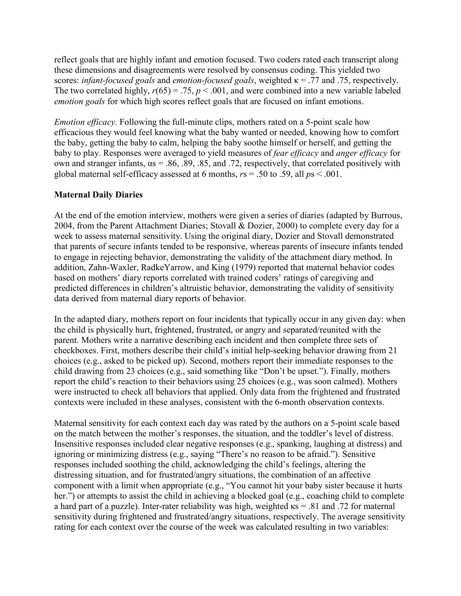reflect goals that are highly infant and emotion focused. Two coders rated each transcript along these dimensions and disagreements were resolved by consensus coding. This yielded two scores: *infant-focused goals* and *emotion-focused goals*, weighted κ = .77 and .75, respectively. The two correlated highly,  $r(65) = .75$ ,  $p < .001$ , and were combined into a new variable labeled *emotion goals* for which high scores reflect goals that are focused on infant emotions.

*Emotion efficacy*. Following the full-minute clips, mothers rated on a 5-point scale how efficacious they would feel knowing what the baby wanted or needed, knowing how to comfort the baby, getting the baby to calm, helping the baby soothe himself or herself, and getting the baby to play. Responses were averaged to yield measures of *fear efficacy* and *anger efficacy* for own and stranger infants, αs = .86, .89, .85, and .72, respectively, that correlated positively with global maternal self-efficacy assessed at 6 months, *r*s = .50 to .59, all *p*s < .001.

## **Maternal Daily Diaries**

At the end of the emotion interview, mothers were given a series of diaries (adapted by Burrous, 2004, from the Parent Attachment Diaries; Stovall & Dozier, 2000) to complete every day for a week to assess maternal sensitivity. Using the original diary, Dozier and Stovall demonstrated that parents of secure infants tended to be responsive, whereas parents of insecure infants tended to engage in rejecting behavior, demonstrating the validity of the attachment diary method. In addition, Zahn-Waxler, RadkeYarrow, and King (1979) reported that maternal behavior codes based on mothers' diary reports correlated with trained coders' ratings of caregiving and predicted differences in children's altruistic behavior, demonstrating the validity of sensitivity data derived from maternal diary reports of behavior.

In the adapted diary, mothers report on four incidents that typically occur in any given day: when the child is physically hurt, frightened, frustrated, or angry and separated/reunited with the parent. Mothers write a narrative describing each incident and then complete three sets of checkboxes. First, mothers describe their child's initial help-seeking behavior drawing from 21 choices (e.g., asked to be picked up). Second, mothers report their immediate responses to the child drawing from 23 choices (e.g., said something like "Don't be upset."). Finally, mothers report the child's reaction to their behaviors using 25 choices (e.g., was soon calmed). Mothers were instructed to check all behaviors that applied. Only data from the frightened and frustrated contexts were included in these analyses, consistent with the 6-month observation contexts.

Maternal sensitivity for each context each day was rated by the authors on a 5-point scale based on the match between the mother's responses, the situation, and the toddler's level of distress. Insensitive responses included clear negative responses (e.g., spanking, laughing at distress) and ignoring or minimizing distress (e.g., saying "There's no reason to be afraid."). Sensitive responses included soothing the child, acknowledging the child's feelings, altering the distressing situation, and for frustrated/angry situations, the combination of an affective component with a limit when appropriate (e.g., "You cannot hit your baby sister because it hurts her.") or attempts to assist the child in achieving a blocked goal (e.g., coaching child to complete a hard part of a puzzle). Inter-rater reliability was high, weighted κs = .81 and .72 for maternal sensitivity during frightened and frustrated/angry situations, respectively. The average sensitivity rating for each context over the course of the week was calculated resulting in two variables: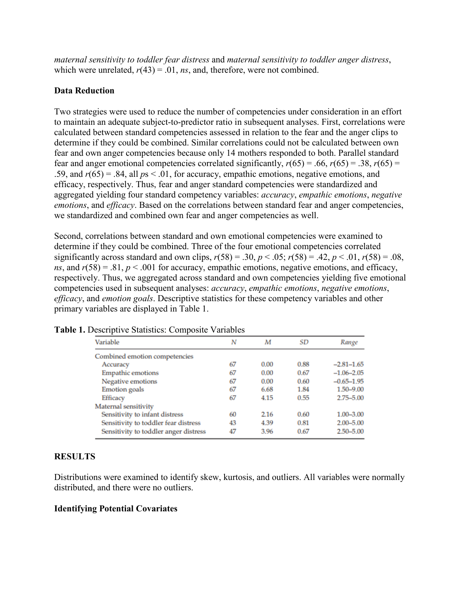*maternal sensitivity to toddler fear distress* and *maternal sensitivity to toddler anger distress*, which were unrelated,  $r(43) = .01$ , *ns*, and, therefore, were not combined.

#### **Data Reduction**

Two strategies were used to reduce the number of competencies under consideration in an effort to maintain an adequate subject-to-predictor ratio in subsequent analyses. First, correlations were calculated between standard competencies assessed in relation to the fear and the anger clips to determine if they could be combined. Similar correlations could not be calculated between own fear and own anger competencies because only 14 mothers responded to both. Parallel standard fear and anger emotional competencies correlated significantly,  $r(65) = .66$ ,  $r(65) = .38$ ,  $r(65) =$ .59, and  $r(65) = .84$ , all  $ps < .01$ , for accuracy, empathic emotions, negative emotions, and efficacy, respectively. Thus, fear and anger standard competencies were standardized and aggregated yielding four standard competency variables: *accuracy*, *empathic emotions*, *negative emotions*, and *efficacy*. Based on the correlations between standard fear and anger competencies, we standardized and combined own fear and anger competencies as well.

Second, correlations between standard and own emotional competencies were examined to determine if they could be combined. Three of the four emotional competencies correlated significantly across standard and own clips,  $r(58) = .30$ ,  $p < .05$ ;  $r(58) = .42$ ,  $p < .01$ ,  $r(58) = .08$ , *ns*, and  $r(58) = .81$ ,  $p < .001$  for accuracy, empathic emotions, negative emotions, and efficacy, respectively. Thus, we aggregated across standard and own competencies yielding five emotional competencies used in subsequent analyses: *accuracy*, *empathic emotions*, *negative emotions*, *efficacy*, and *emotion goals*. Descriptive statistics for these competency variables and other primary variables are displayed in Table 1.

| Variable                              | N  | М    | SD   | Range          |
|---------------------------------------|----|------|------|----------------|
| Combined emotion competencies         |    |      |      |                |
| Accuracy                              | 67 | 0.00 | 0.88 | $-2.81 - 1.65$ |
| <b>Empathic emotions</b>              | 67 | 0.00 | 0.67 | $-1.06 - 2.05$ |
| Negative emotions                     | 67 | 0.00 | 0.60 | $-0.65 - 1.95$ |
| <b>Emotion</b> goals                  | 67 | 6.68 | 1.84 | 1.50-9.00      |
| Efficacy                              | 67 | 4.15 | 0.55 | $2.75 - 5.00$  |
| Maternal sensitivity                  |    |      |      |                |
| Sensitivity to infant distress        | 60 | 2.16 | 0.60 | $1.00 - 3.00$  |
| Sensitivity to toddler fear distress  | 43 | 4.39 | 0.81 | $2.00 - 5.00$  |
| Sensitivity to toddler anger distress | 47 | 3.96 | 0.67 | $2.50 - 5.00$  |

**Table 1.** Descriptive Statistics: Composite Variables

## **RESULTS**

Distributions were examined to identify skew, kurtosis, and outliers. All variables were normally distributed, and there were no outliers.

#### **Identifying Potential Covariates**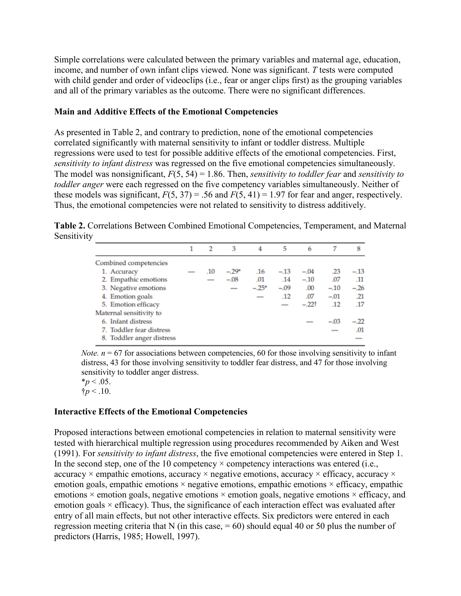Simple correlations were calculated between the primary variables and maternal age, education, income, and number of own infant clips viewed. None was significant. *T* tests were computed with child gender and order of videoclips (i.e., fear or anger clips first) as the grouping variables and all of the primary variables as the outcome. There were no significant differences.

#### **Main and Additive Effects of the Emotional Competencies**

As presented in Table 2, and contrary to prediction, none of the emotional competencies correlated significantly with maternal sensitivity to infant or toddler distress. Multiple regressions were used to test for possible additive effects of the emotional competencies. First, *sensitivity to infant distress* was regressed on the five emotional competencies simultaneously. The model was nonsignificant, *F*(5, 54) = 1.86. Then, *sensitivity to toddler fear* and *sensitivity to toddler anger* were each regressed on the five competency variables simultaneously. Neither of these models was significant,  $F(5, 37) = .56$  and  $F(5, 41) = 1.97$  for fear and anger, respectively. Thus, the emotional competencies were not related to sensitivity to distress additively.

**Table 2.** Correlations Between Combined Emotional Competencies, Temperament, and Maternal Sensitivity

|                           | $\mathcal{P}$ | 3                        | 4       | 5       | 6        |        | 8    |
|---------------------------|---------------|--------------------------|---------|---------|----------|--------|------|
| Combined competencies     |               |                          |         |         |          |        |      |
| 1. Accuracy               | .10           | $-29*$                   | .16     | $-13$   | $-.04$   | .23    | -.13 |
| 2. Empathic emotions      |               | $-.08$                   | .01     | .14     | $-.10$   | .07    | .11  |
| 3. Negative emotions      |               | $\overline{\phantom{a}}$ | $-.25*$ | $-0.09$ | .00      | $-10$  | -.26 |
| 4. Emotion goals          |               |                          | -       | .12     | .07      | $-01$  | .21  |
| 5. Emotion efficacy       |               |                          |         |         | $-.22$ t | .12    | .17  |
| Maternal sensitivity to   |               |                          |         |         |          |        |      |
| 6. Infant distress        |               |                          |         |         |          | $-.03$ | -.22 |
| 7. Toddler fear distress  |               |                          |         |         |          |        | .01  |
| 8. Toddler anger distress |               |                          |         |         |          |        |      |
|                           |               |                          |         |         |          |        |      |

*Note.*  $n = 67$  for associations between competencies, 60 for those involving sensitivity to infant distress, 43 for those involving sensitivity to toddler fear distress, and 47 for those involving sensitivity to toddler anger distress.

 $*_{p}$  < .05.

 $\dagger p < .10$ .

## **Interactive Effects of the Emotional Competencies**

Proposed interactions between emotional competencies in relation to maternal sensitivity were tested with hierarchical multiple regression using procedures recommended by Aiken and West (1991). For *sensitivity to infant distress*, the five emotional competencies were entered in Step 1. In the second step, one of the 10 competency  $\times$  competency interactions was entered (i.e., accuracy  $\times$  empathic emotions, accuracy  $\times$  negative emotions, accuracy  $\times$  efficacy, accuracy  $\times$ emotion goals, empathic emotions  $\times$  negative emotions, empathic emotions  $\times$  efficacy, empathic emotions  $\times$  emotion goals, negative emotions  $\times$  emotion goals, negative emotions  $\times$  efficacy, and emotion goals  $\times$  efficacy). Thus, the significance of each interaction effect was evaluated after entry of all main effects, but not other interactive effects. Six predictors were entered in each regression meeting criteria that N (in this case,  $= 60$ ) should equal 40 or 50 plus the number of predictors (Harris, 1985; Howell, 1997).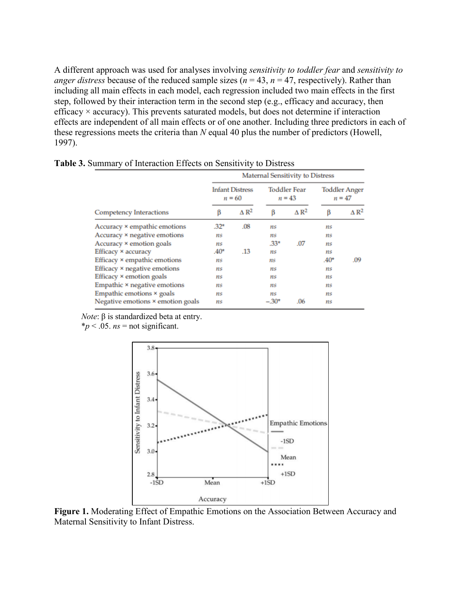A different approach was used for analyses involving *sensitivity to toddler fear* and *sensitivity to anger distress* because of the reduced sample sizes ( $n = 43$ ,  $n = 47$ , respectively). Rather than including all main effects in each model, each regression included two main effects in the first step, followed by their interaction term in the second step (e.g., efficacy and accuracy, then efficacy  $\times$  accuracy). This prevents saturated models, but does not determine if interaction effects are independent of all main effects or of one another. Including three predictors in each of these regressions meets the criteria than *N* equal 40 plus the number of predictors (Howell, 1997).

| <b>Competency Interactions</b>    | <b>Maternal Sensitivity to Distress</b> |                 |                                 |                 |                                  |                 |  |  |
|-----------------------------------|-----------------------------------------|-----------------|---------------------------------|-----------------|----------------------------------|-----------------|--|--|
|                                   | <b>Infant Distress</b><br>$n = 60$      |                 | <b>Toddler Fear</b><br>$n = 43$ |                 | <b>Toddler Anger</b><br>$n = 47$ |                 |  |  |
|                                   | ß                                       | $\triangle R^2$ | β                               | $\triangle R^2$ | ß                                | $\triangle R^2$ |  |  |
| Accuracy × empathic emotions      | $.32*$                                  | .08             | ns                              |                 | ns                               |                 |  |  |
| Accuracy × negative emotions      | ns                                      |                 | ĦS                              |                 | ns                               |                 |  |  |
| Accuracy × emotion goals          | ns                                      |                 | $.33*$                          | .07             | ns                               |                 |  |  |
| Efficacy × accuracy               | $.40*$                                  | .13             | ns                              |                 | ns                               |                 |  |  |
| Efficacy × empathic emotions      | ns                                      |                 | ĦS                              |                 | $.40*$                           | .09             |  |  |
| Efficacy × negative emotions      | ns                                      |                 | ns                              |                 | ns                               |                 |  |  |
| Efficacy × emotion goals          | ns                                      |                 | ns                              |                 | ns                               |                 |  |  |
| Empathic × negative emotions      | ns                                      |                 | ns                              |                 | ns                               |                 |  |  |
| Empathic emotions × goals         | ns                                      |                 | ns                              |                 | ns                               |                 |  |  |
| Negative emotions × emotion goals | ns                                      |                 | $-.30*$                         | .06             | ns                               |                 |  |  |

**Table 3.** Summary of Interaction Effects on Sensitivity to Distress

*Note*: β is standardized beta at entry.

 $**p* < .05$ . *ns* = not significant.



**Figure 1.** Moderating Effect of Empathic Emotions on the Association Between Accuracy and Maternal Sensitivity to Infant Distress.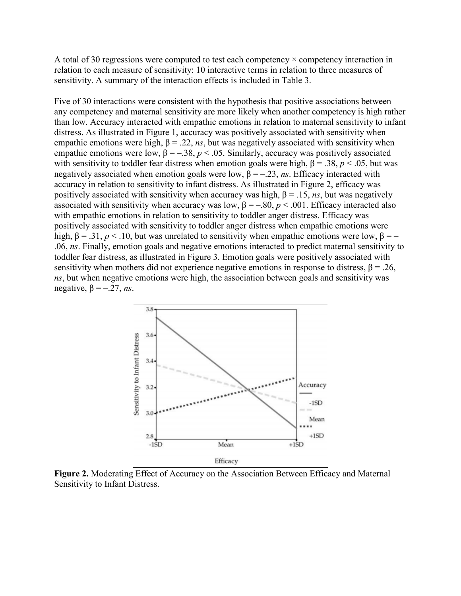A total of 30 regressions were computed to test each competency × competency interaction in relation to each measure of sensitivity: 10 interactive terms in relation to three measures of sensitivity. A summary of the interaction effects is included in Table 3.

Five of 30 interactions were consistent with the hypothesis that positive associations between any competency and maternal sensitivity are more likely when another competency is high rather than low. Accuracy interacted with empathic emotions in relation to maternal sensitivity to infant distress. As illustrated in Figure 1, accuracy was positively associated with sensitivity when empathic emotions were high,  $\beta = 0.22$ , *ns*, but was negatively associated with sensitivity when empathic emotions were low,  $\beta = -.38$ ,  $p < .05$ . Similarly, accuracy was positively associated with sensitivity to toddler fear distress when emotion goals were high,  $\beta = .38$ ,  $p < .05$ , but was negatively associated when emotion goals were low,  $\beta = -23$ , *ns*. Efficacy interacted with accuracy in relation to sensitivity to infant distress. As illustrated in Figure 2, efficacy was positively associated with sensitivity when accuracy was high,  $\beta = 0.15$ , *ns*, but was negatively associated with sensitivity when accuracy was low,  $\beta = -.80, p < .001$ . Efficacy interacted also with empathic emotions in relation to sensitivity to toddler anger distress. Efficacy was positively associated with sensitivity to toddler anger distress when empathic emotions were high,  $\beta = .31$ ,  $p < .10$ , but was unrelated to sensitivity when empathic emotions were low,  $\beta = -$ .06, *ns*. Finally, emotion goals and negative emotions interacted to predict maternal sensitivity to toddler fear distress, as illustrated in Figure 3. Emotion goals were positively associated with sensitivity when mothers did not experience negative emotions in response to distress,  $\beta = .26$ , *ns*, but when negative emotions were high, the association between goals and sensitivity was negative,  $\beta = -.27$ , *ns*.



**Figure 2.** Moderating Effect of Accuracy on the Association Between Efficacy and Maternal Sensitivity to Infant Distress.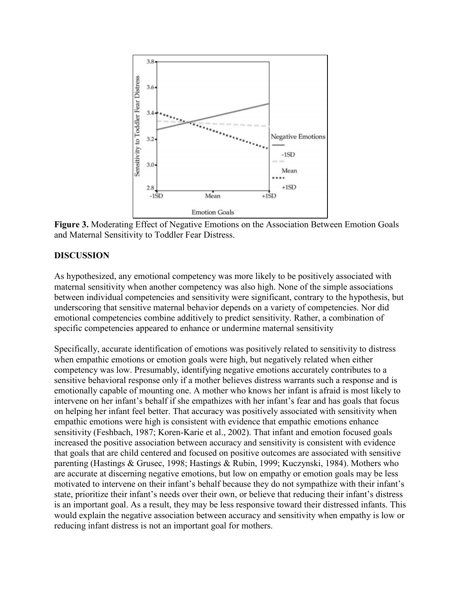

**Figure 3.** Moderating Effect of Negative Emotions on the Association Between Emotion Goals and Maternal Sensitivity to Toddler Fear Distress.

#### **DISCUSSION**

As hypothesized, any emotional competency was more likely to be positively associated with maternal sensitivity when another competency was also high. None of the simple associations between individual competencies and sensitivity were significant, contrary to the hypothesis, but underscoring that sensitive maternal behavior depends on a variety of competencies. Nor did emotional competencies combine additively to predict sensitivity. Rather, a combination of specific competencies appeared to enhance or undermine maternal sensitivity

Specifically, accurate identification of emotions was positively related to sensitivity to distress when empathic emotions or emotion goals were high, but negatively related when either competency was low. Presumably, identifying negative emotions accurately contributes to a sensitive behavioral response only if a mother believes distress warrants such a response and is emotionally capable of mounting one. A mother who knows her infant is afraid is most likely to intervene on her infant's behalf if she empathizes with her infant's fear and has goals that focus on helping her infant feel better. That accuracy was positively associated with sensitivity when empathic emotions were high is consistent with evidence that empathic emotions enhance sensitivity (Feshbach, 1987; Koren-Karie et al., 2002). That infant and emotion focused goals increased the positive association between accuracy and sensitivity is consistent with evidence that goals that are child centered and focused on positive outcomes are associated with sensitive parenting (Hastings & Grusec, 1998; Hastings & Rubin, 1999; Kuczynski, 1984). Mothers who are accurate at discerning negative emotions, but low on empathy or emotion goals may be less motivated to intervene on their infant's behalf because they do not sympathize with their infant's state, prioritize their infant's needs over their own, or believe that reducing their infant's distress is an important goal. As a result, they may be less responsive toward their distressed infants. This would explain the negative association between accuracy and sensitivity when empathy is low or reducing infant distress is not an important goal for mothers.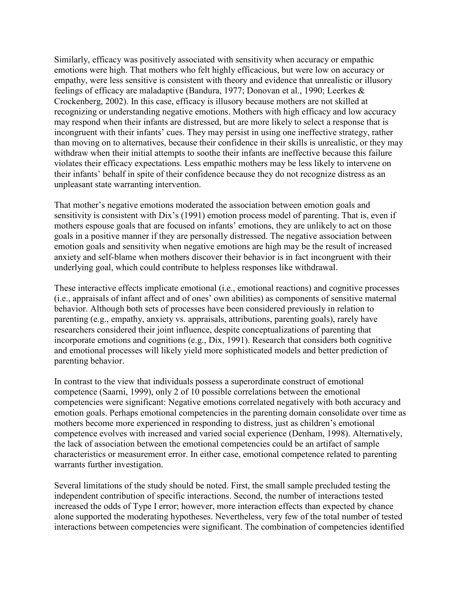Similarly, efficacy was positively associated with sensitivity when accuracy or empathic emotions were high. That mothers who felt highly efficacious, but were low on accuracy or empathy, were less sensitive is consistent with theory and evidence that unrealistic or illusory feelings of efficacy are maladaptive (Bandura, 1977; Donovan et al., 1990; Leerkes & Crockenberg, 2002). In this case, efficacy is illusory because mothers are not skilled at recognizing or understanding negative emotions. Mothers with high efficacy and low accuracy may respond when their infants are distressed, but are more likely to select a response that is incongruent with their infants' cues. They may persist in using one ineffective strategy, rather than moving on to alternatives, because their confidence in their skills is unrealistic, or they may withdraw when their initial attempts to soothe their infants are ineffective because this failure violates their efficacy expectations. Less empathic mothers may be less likely to intervene on their infants' behalf in spite of their confidence because they do not recognize distress as an unpleasant state warranting intervention.

That mother's negative emotions moderated the association between emotion goals and sensitivity is consistent with Dix's (1991) emotion process model of parenting. That is, even if mothers espouse goals that are focused on infants' emotions, they are unlikely to act on those goals in a positive manner if they are personally distressed. The negative association between emotion goals and sensitivity when negative emotions are high may be the result of increased anxiety and self-blame when mothers discover their behavior is in fact incongruent with their underlying goal, which could contribute to helpless responses like withdrawal.

These interactive effects implicate emotional (i.e., emotional reactions) and cognitive processes (i.e., appraisals of infant affect and of ones' own abilities) as components of sensitive maternal behavior. Although both sets of processes have been considered previously in relation to parenting (e.g., empathy, anxiety vs. appraisals, attributions, parenting goals), rarely have researchers considered their joint influence, despite conceptualizations of parenting that incorporate emotions and cognitions (e.g., Dix, 1991). Research that considers both cognitive and emotional processes will likely yield more sophisticated models and better prediction of parenting behavior.

In contrast to the view that individuals possess a superordinate construct of emotional competence (Saarni, 1999), only 2 of 10 possible correlations between the emotional competencies were significant: Negative emotions correlated negatively with both accuracy and emotion goals. Perhaps emotional competencies in the parenting domain consolidate over time as mothers become more experienced in responding to distress, just as children's emotional competence evolves with increased and varied social experience (Denham, 1998). Alternatively, the lack of association between the emotional competencies could be an artifact of sample characteristics or measurement error. In either case, emotional competence related to parenting warrants further investigation.

Several limitations of the study should be noted. First, the small sample precluded testing the independent contribution of specific interactions. Second, the number of interactions tested increased the odds of Type I error; however, more interaction effects than expected by chance alone supported the moderating hypotheses. Nevertheless, very few of the total number of tested interactions between competencies were significant. The combination of competencies identified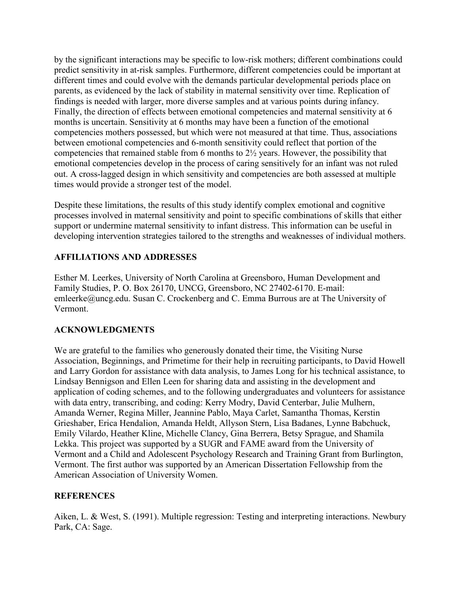by the significant interactions may be specific to low-risk mothers; different combinations could predict sensitivity in at-risk samples. Furthermore, different competencies could be important at different times and could evolve with the demands particular developmental periods place on parents, as evidenced by the lack of stability in maternal sensitivity over time. Replication of findings is needed with larger, more diverse samples and at various points during infancy. Finally, the direction of effects between emotional competencies and maternal sensitivity at 6 months is uncertain. Sensitivity at 6 months may have been a function of the emotional competencies mothers possessed, but which were not measured at that time. Thus, associations between emotional competencies and 6-month sensitivity could reflect that portion of the competencies that remained stable from 6 months to 2½ years. However, the possibility that emotional competencies develop in the process of caring sensitively for an infant was not ruled out. A cross-lagged design in which sensitivity and competencies are both assessed at multiple times would provide a stronger test of the model.

Despite these limitations, the results of this study identify complex emotional and cognitive processes involved in maternal sensitivity and point to specific combinations of skills that either support or undermine maternal sensitivity to infant distress. This information can be useful in developing intervention strategies tailored to the strengths and weaknesses of individual mothers.

## **AFFILIATIONS AND ADDRESSES**

Esther M. Leerkes, University of North Carolina at Greensboro, Human Development and Family Studies, P. O. Box 26170, UNCG, Greensboro, NC 27402-6170. E-mail: emleerke@uncg.edu. Susan C. Crockenberg and C. Emma Burrous are at The University of Vermont.

## **ACKNOWLEDGMENTS**

We are grateful to the families who generously donated their time, the Visiting Nurse Association, Beginnings, and Primetime for their help in recruiting participants, to David Howell and Larry Gordon for assistance with data analysis, to James Long for his technical assistance, to Lindsay Bennigson and Ellen Leen for sharing data and assisting in the development and application of coding schemes, and to the following undergraduates and volunteers for assistance with data entry, transcribing, and coding: Kerry Modry, David Centerbar, Julie Mulhern, Amanda Werner, Regina Miller, Jeannine Pablo, Maya Carlet, Samantha Thomas, Kerstin Grieshaber, Erica Hendalion, Amanda Heldt, Allyson Stern, Lisa Badanes, Lynne Babchuck, Emily Vilardo, Heather Kline, Michelle Clancy, Gina Berrera, Betsy Sprague, and Shamila Lekka. This project was supported by a SUGR and FAME award from the University of Vermont and a Child and Adolescent Psychology Research and Training Grant from Burlington, Vermont. The first author was supported by an American Dissertation Fellowship from the American Association of University Women.

## **REFERENCES**

Aiken, L. & West, S. (1991). Multiple regression: Testing and interpreting interactions. Newbury Park, CA: Sage.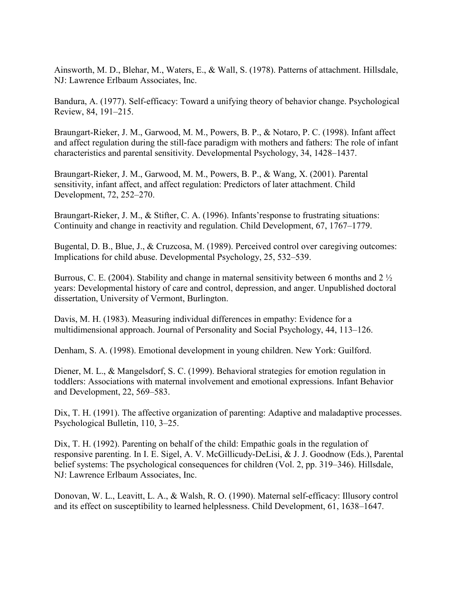Ainsworth, M. D., Blehar, M., Waters, E., & Wall, S. (1978). Patterns of attachment. Hillsdale, NJ: Lawrence Erlbaum Associates, Inc.

Bandura, A. (1977). Self-efficacy: Toward a unifying theory of behavior change. Psychological Review, 84, 191–215.

Braungart-Rieker, J. M., Garwood, M. M., Powers, B. P., & Notaro, P. C. (1998). Infant affect and affect regulation during the still-face paradigm with mothers and fathers: The role of infant characteristics and parental sensitivity. Developmental Psychology, 34, 1428–1437.

Braungart-Rieker, J. M., Garwood, M. M., Powers, B. P., & Wang, X. (2001). Parental sensitivity, infant affect, and affect regulation: Predictors of later attachment. Child Development, 72, 252–270.

Braungart-Rieker, J. M., & Stifter, C. A. (1996). Infants'response to frustrating situations: Continuity and change in reactivity and regulation. Child Development, 67, 1767–1779.

Bugental, D. B., Blue, J., & Cruzcosa, M. (1989). Perceived control over caregiving outcomes: Implications for child abuse. Developmental Psychology, 25, 532–539.

Burrous, C. E. (2004). Stability and change in maternal sensitivity between 6 months and 2 ½ years: Developmental history of care and control, depression, and anger. Unpublished doctoral dissertation, University of Vermont, Burlington.

Davis, M. H. (1983). Measuring individual differences in empathy: Evidence for a multidimensional approach. Journal of Personality and Social Psychology, 44, 113–126.

Denham, S. A. (1998). Emotional development in young children. New York: Guilford.

Diener, M. L., & Mangelsdorf, S. C. (1999). Behavioral strategies for emotion regulation in toddlers: Associations with maternal involvement and emotional expressions. Infant Behavior and Development, 22, 569–583.

Dix, T. H. (1991). The affective organization of parenting: Adaptive and maladaptive processes. Psychological Bulletin, 110, 3–25.

Dix, T. H. (1992). Parenting on behalf of the child: Empathic goals in the regulation of responsive parenting. In I. E. Sigel, A. V. McGillicudy-DeLisi, & J. J. Goodnow (Eds.), Parental belief systems: The psychological consequences for children (Vol. 2, pp. 319–346). Hillsdale, NJ: Lawrence Erlbaum Associates, Inc.

Donovan, W. L., Leavitt, L. A., & Walsh, R. O. (1990). Maternal self-efficacy: Illusory control and its effect on susceptibility to learned helplessness. Child Development, 61, 1638–1647.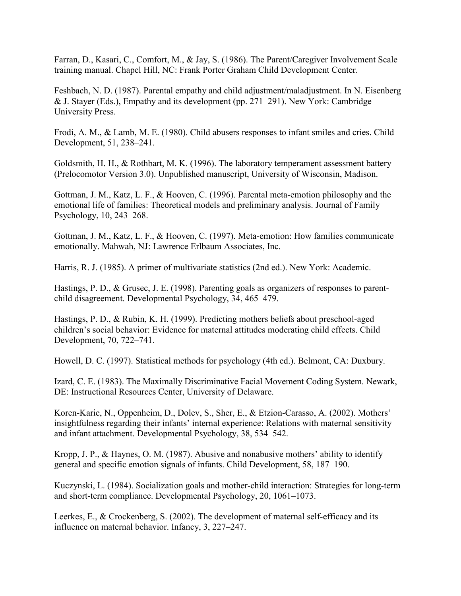Farran, D., Kasari, C., Comfort, M., & Jay, S. (1986). The Parent/Caregiver Involvement Scale training manual. Chapel Hill, NC: Frank Porter Graham Child Development Center.

Feshbach, N. D. (1987). Parental empathy and child adjustment/maladjustment. In N. Eisenberg & J. Stayer (Eds.), Empathy and its development (pp. 271–291). New York: Cambridge University Press.

Frodi, A. M., & Lamb, M. E. (1980). Child abusers responses to infant smiles and cries. Child Development, 51, 238–241.

Goldsmith, H. H., & Rothbart, M. K. (1996). The laboratory temperament assessment battery (Prelocomotor Version 3.0). Unpublished manuscript, University of Wisconsin, Madison.

Gottman, J. M., Katz, L. F., & Hooven, C. (1996). Parental meta-emotion philosophy and the emotional life of families: Theoretical models and preliminary analysis. Journal of Family Psychology, 10, 243–268.

Gottman, J. M., Katz, L. F., & Hooven, C. (1997). Meta-emotion: How families communicate emotionally. Mahwah, NJ: Lawrence Erlbaum Associates, Inc.

Harris, R. J. (1985). A primer of multivariate statistics (2nd ed.). New York: Academic.

Hastings, P. D., & Grusec, J. E. (1998). Parenting goals as organizers of responses to parentchild disagreement. Developmental Psychology, 34, 465–479.

Hastings, P. D., & Rubin, K. H. (1999). Predicting mothers beliefs about preschool-aged children's social behavior: Evidence for maternal attitudes moderating child effects. Child Development, 70, 722–741.

Howell, D. C. (1997). Statistical methods for psychology (4th ed.). Belmont, CA: Duxbury.

Izard, C. E. (1983). The Maximally Discriminative Facial Movement Coding System. Newark, DE: Instructional Resources Center, University of Delaware.

Koren-Karie, N., Oppenheim, D., Dolev, S., Sher, E., & Etzion-Carasso, A. (2002). Mothers' insightfulness regarding their infants' internal experience: Relations with maternal sensitivity and infant attachment. Developmental Psychology, 38, 534–542.

Kropp, J. P., & Haynes, O. M. (1987). Abusive and nonabusive mothers' ability to identify general and specific emotion signals of infants. Child Development, 58, 187–190.

Kuczynski, L. (1984). Socialization goals and mother-child interaction: Strategies for long-term and short-term compliance. Developmental Psychology, 20, 1061–1073.

Leerkes, E., & Crockenberg, S. (2002). The development of maternal self-efficacy and its influence on maternal behavior. Infancy, 3, 227–247.